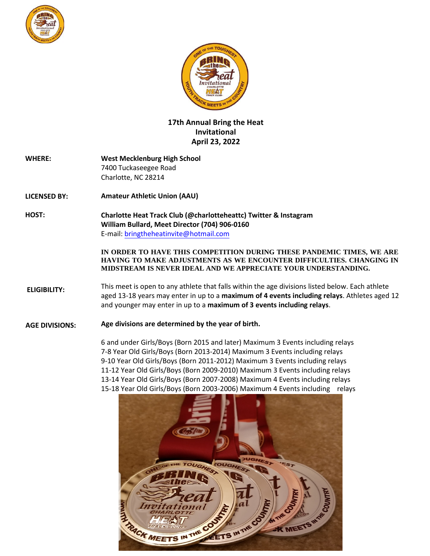



## **17th Annual Bring the Heat Invitational April 23, 2022**

| <b>WHERE:</b> | <b>West Mecklenburg High School</b> |  |
|---------------|-------------------------------------|--|
|               | 7400 Tuckaseegee Road               |  |
|               | Charlotte, NC 28214                 |  |

- **LICENSED BY: Amateur Athletic Union (AAU)**
- **HOST: Charlotte Heat Track Club (@charlotteheattc) Twitter & Instagram William Bullard, Meet Director (704) 906-0160** E-mail: [bringtheheatinvite@hotmail.com](mailto:coacho.officials@gmail.com)

**IN ORDER TO HAVE THIS COMPETITION DURING THESE PANDEMIC TIMES, WE ARE HAVING TO MAKE ADJUSTMENTS AS WE ENCOUNTER DIFFICULTIES. CHANGING IN MIDSTREAM IS NEVER IDEAL AND WE APPRECIATE YOUR UNDERSTANDING.**

**ELIGIBILITY:** This meet is open to any athlete that falls within the age divisions listed below. Each athlete aged 13-18 years may enter in up to a **maximum of 4 events including relays**. [Athletes aged 12](http://www.aausports.org/) and younger may enter in up to a **maximum of 3 events including relays**.

**AGE DIVISIONS: Age divisions are determined by the year of birth.** 

> **Pee-Wee** (6 and under) Girls/Boys Maximum 3 Events including relays **Sub Bantam** (7-8) Year Old Girls/Boys Maximum 3 Events including relays **Bantam** (9-10) Year Old Girls/Boys Maximum 3 Events including relays **Midget** (11-12) Year Old Girls/Boys Maximum 3 Events including relays **Youth** (13-14) Year Old Girls/Boys Maximum 4 Events including relays **High School** (15-18) Year Old Girls/Boys Maximum 4 Events including relays

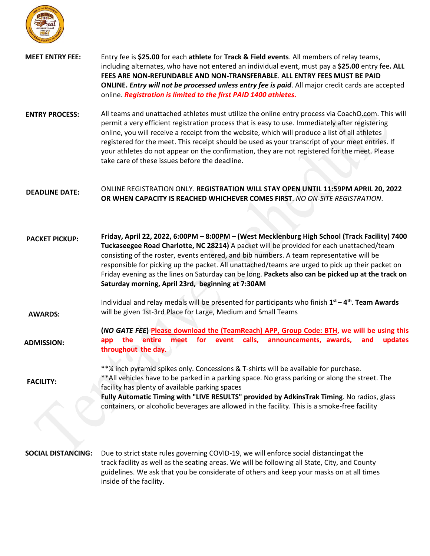

| <b>MEET ENTRY FEE:</b>    | Entry fee is \$25.00 for each athlete for Track & Field events. All members of relay teams,<br>including alternates, who have not entered an individual event, must pay a \$25.00 entry fee. ALL<br>FEES ARE NON-REFUNDABLE AND NON-TRANSFERABLE. ALL ENTRY FEES MUST BE PAID<br>ONLINE. Entry will not be processed unless entry fee is paid. All major credit cards are accepted<br>online. Registration is limited to the first PAID 1400 athletes.                                                                                                        |
|---------------------------|---------------------------------------------------------------------------------------------------------------------------------------------------------------------------------------------------------------------------------------------------------------------------------------------------------------------------------------------------------------------------------------------------------------------------------------------------------------------------------------------------------------------------------------------------------------|
| <b>ENTRY PROCESS:</b>     | All teams and unattached athletes must utilize the online entry process via CoachO.com. This will<br>permit a very efficient registration process that is easy to use. Immediately after registering<br>online, you will receive a receipt from the website, which will produce a list of all athletes<br>registered for the meet. This receipt should be used as your transcript of your meet entries. If<br>your athletes do not appear on the confirmation, they are not registered for the meet. Please<br>take care of these issues before the deadline. |
| <b>DEADLINE DATE:</b>     | ONLINE REGISTRATION ONLY. REGISTRATION WILL STAY OPEN UNTIL 11:59PM APRIL 20, 2022<br>OR WHEN CAPACITY IS REACHED WHICHEVER COMES FIRST. NO ON-SITE REGISTRATION.                                                                                                                                                                                                                                                                                                                                                                                             |
| <b>PACKET PICKUP:</b>     | Friday, April 22, 2022, 6:00PM - 8:00PM - (West Mecklenburg High School (Track Facility) 7400<br>Tuckaseegee Road Charlotte, NC 28214) A packet will be provided for each unattached/team<br>consisting of the roster, events entered, and bib numbers. A team representative will be<br>responsible for picking up the packet. All unattached/teams are urged to pick up their packet on<br>Friday evening as the lines on Saturday can be long. Packets also can be picked up at the track on<br>Saturday morning, April 23rd, beginning at 7:30AM          |
| <b>AWARDS:</b>            | Individual and relay medals will be presented for participants who finish 1 <sup>st</sup> – 4 <sup>th</sup> . Team Awards<br>will be given 1st-3rd Place for Large, Medium and Small Teams                                                                                                                                                                                                                                                                                                                                                                    |
| <b>ADMISSION:</b>         | (NO GATE FEE) Please download the (TeamReach) APP, Group Code: BTH, we will be using this<br>calls,<br>the<br>entire<br>meet for event<br>announcements, awards,<br>updates<br>and<br>app<br>throughout the day.                                                                                                                                                                                                                                                                                                                                              |
| <b>FACILITY:</b>          | **% inch pyramid spikes only. Concessions & T-shirts will be available for purchase.<br>** All vehicles have to be parked in a parking space. No grass parking or along the street. The<br>facility has plenty of available parking spaces<br>Fully Automatic Timing with "LIVE RESULTS" provided by AdkinsTrak Timing. No radios, glass<br>containers, or alcoholic beverages are allowed in the facility. This is a smoke-free facility                                                                                                                     |
| <b>SOCIAL DISTANCING:</b> | Due to strict state rules governing COVID-19, we will enforce social distancing at the<br>track facility as well as the seating areas. We will be following all State, City, and County<br>guidelines. We ask that you be considerate of others and keep your masks on at all times<br>inside of the facility.                                                                                                                                                                                                                                                |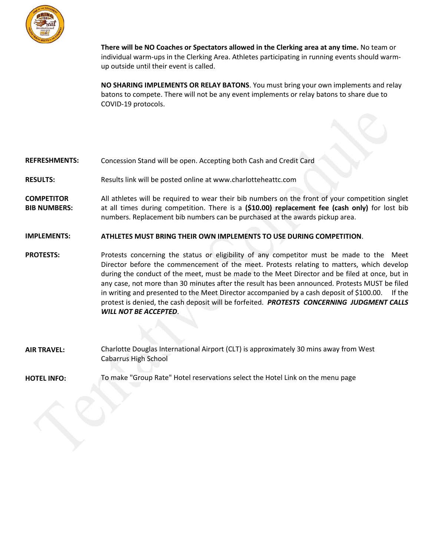

**There will be NO Coaches or Spectators allowed in the Clerking area at any time.** No team or individual warm-ups in the Clerking Area. Athletes participating in running events should warmup outside until their event is called.

**NO SHARING IMPLEMENTS OR RELAY BATONS**. You must bring your own implements and relay batons to compete. There will not be any event implements or relay batons to share due to COVID-19 protocols.

## **REFRESHMENTS:** Concession Stand will be open. Accepting both Cash and Credit Card

- **RESULTS:** Results link will be posted online at [www.charlotteheattc.c](http://www.coacho.com/)om
- **COMPETITOR BIB NUMBERS:** All athletes will be required to wear their bib numbers on the front of your competition singlet at all times during competition. There is a **(\$10.00) replacement fee (cash only)** for lost bib numbers. Replacement bib numbers can be purchased at the awards pickup area.
- **IMPLEMENTS: ATHLETES MUST BRING THEIR OWN IMPLEMENTS TO USE DURING COMPETITION**.

**PROTESTS:** Protests concerning the status or eligibility of any competitor must be made to the Meet Director before the commencement of the meet. Protests relating to matters, which develop during the conduct of the meet, must be made to the Meet Director and be filed at once, but in any case, not more than 30 minutes after the result has been announced. Protests MUST be filed in writing and presented to the Meet Director accompanied by a cash deposit of \$100.00. If the protest is denied, the cash deposit will be forfeited. *PROTESTS CONCERNING JUDGMENT CALLS WILL NOT BE ACCEPTED*.

**AIR TRAVEL:** Charlotte Douglas International Airport (CLT) is approximately 10 mins away from West Mecklenburg High School

**HOTEL INFO:** T[BA](https://groups.reservetravel.com/group.aspx?id=46824)